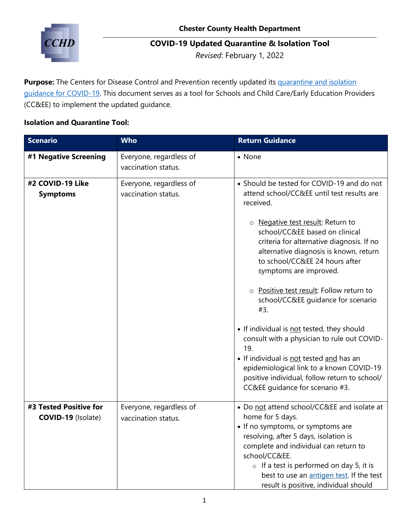

### **COVID-19 Updated Quarantine & Isolation Tool**

*Revised*: February 1, 2022

**Purpose:** The Centers for Disease Control and Prevention recently updated its quarantine and isolation [guidance for COVID-19.](https://www.cdc.gov/coronavirus/2019-ncov/your-health/quarantine-isolation.html) This document serves as a tool for Schools and Child Care/Early Education Providers (CC&EE) to implement the updated guidance.

### **Isolation and Quarantine Tool:**

| <b>Scenario</b>                              | <b>Who</b>                                     | <b>Return Guidance</b>                                                                                                                                                                                                                                                       |
|----------------------------------------------|------------------------------------------------|------------------------------------------------------------------------------------------------------------------------------------------------------------------------------------------------------------------------------------------------------------------------------|
| #1 Negative Screening                        | Everyone, regardless of<br>vaccination status. | • None                                                                                                                                                                                                                                                                       |
| #2 COVID-19 Like<br><b>Symptoms</b>          | Everyone, regardless of<br>vaccination status. | • Should be tested for COVID-19 and do not<br>attend school/CC&EE until test results are<br>received.                                                                                                                                                                        |
|                                              |                                                | ○ Negative test result: Return to<br>school/CC&EE based on clinical<br>criteria for alternative diagnosis. If no<br>alternative diagnosis is known, return<br>to school/CC&EE 24 hours after<br>symptoms are improved.                                                       |
|                                              |                                                | o Positive test result: Follow return to<br>school/CC&EE guidance for scenario<br>#3.                                                                                                                                                                                        |
|                                              |                                                | • If individual is not tested, they should<br>consult with a physician to rule out COVID-<br>19.<br>• If individual is not tested and has an<br>epidemiological link to a known COVID-19<br>positive individual, follow return to school/<br>CC&EE guidance for scenario #3. |
|                                              |                                                |                                                                                                                                                                                                                                                                              |
| #3 Tested Positive for<br>COVID-19 (Isolate) | Everyone, regardless of<br>vaccination status. | • Do not attend school/CC&EE and isolate at<br>home for 5 days.<br>• If no symptoms, or symptoms are<br>resolving, after 5 days, isolation is<br>complete and individual can return to<br>school/CC&EE.<br>$\circ$ If a test is performed on day 5, it is                    |
|                                              |                                                | best to use an antigen test. If the test<br>result is positive, individual should                                                                                                                                                                                            |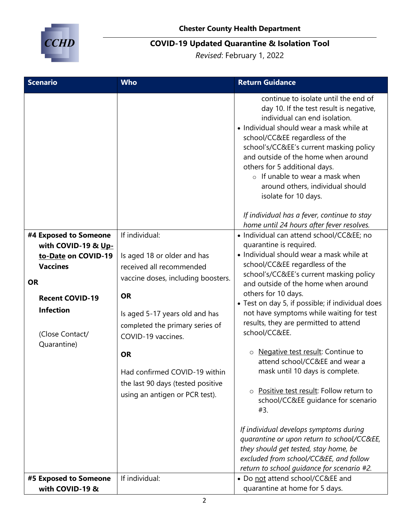

# **COVID-19 Updated Quarantine & Isolation Tool**

*Revised*: February 1, 2022

| <b>Scenario</b>                                                                                                                                                                     | <b>Who</b>                                                                                                                                                                                                                                                                                                                                   | <b>Return Guidance</b>                                                                                                                                                                                                                                                                                                                                                                                                                                                                                                                                                                                        |
|-------------------------------------------------------------------------------------------------------------------------------------------------------------------------------------|----------------------------------------------------------------------------------------------------------------------------------------------------------------------------------------------------------------------------------------------------------------------------------------------------------------------------------------------|---------------------------------------------------------------------------------------------------------------------------------------------------------------------------------------------------------------------------------------------------------------------------------------------------------------------------------------------------------------------------------------------------------------------------------------------------------------------------------------------------------------------------------------------------------------------------------------------------------------|
|                                                                                                                                                                                     |                                                                                                                                                                                                                                                                                                                                              | continue to isolate until the end of<br>day 10. If the test result is negative,<br>individual can end isolation.<br>• Individual should wear a mask while at<br>school/CC&EE regardless of the<br>school's/CC&EE's current masking policy<br>and outside of the home when around<br>others for 5 additional days.<br>$\circ$ If unable to wear a mask when<br>around others, individual should<br>isolate for 10 days.                                                                                                                                                                                        |
|                                                                                                                                                                                     |                                                                                                                                                                                                                                                                                                                                              | If individual has a fever, continue to stay<br>home until 24 hours after fever resolves.                                                                                                                                                                                                                                                                                                                                                                                                                                                                                                                      |
| #4 Exposed to Someone<br>with COVID-19 & Up-<br>to-Date on COVID-19<br><b>Vaccines</b><br><b>OR</b><br><b>Recent COVID-19</b><br><b>Infection</b><br>(Close Contact/<br>Quarantine) | If individual:<br>Is aged 18 or older and has<br>received all recommended<br>vaccine doses, including boosters.<br><b>OR</b><br>Is aged 5-17 years old and has<br>completed the primary series of<br>COVID-19 vaccines.<br><b>OR</b><br>Had confirmed COVID-19 within<br>the last 90 days (tested positive<br>using an antigen or PCR test). | • Individual can attend school/CCⅇ no<br>quarantine is required.<br>• Individual should wear a mask while at<br>school/CC&EE regardless of the<br>school's/CC&EE's current masking policy<br>and outside of the home when around<br>others for 10 days.<br>• Test on day 5, if possible; if individual does<br>not have symptoms while waiting for test<br>results, they are permitted to attend<br>school/CC&EE.<br>Negative test result: Continue to<br>attend school/CC&EE and wear a<br>mask until 10 days is complete.<br>o Positive test result: Follow return to<br>school/CC&EE guidance for scenario |
|                                                                                                                                                                                     |                                                                                                                                                                                                                                                                                                                                              | #3.<br>If individual develops symptoms during<br>quarantine or upon return to school/CC&EE,<br>they should get tested, stay home, be<br>excluded from school/CC&EE, and follow<br>return to school quidance for scenario #2.                                                                                                                                                                                                                                                                                                                                                                                  |
| #5 Exposed to Someone<br>with COVID-19 &                                                                                                                                            | If individual:                                                                                                                                                                                                                                                                                                                               | • Do not attend school/CC&EE and<br>quarantine at home for 5 days.                                                                                                                                                                                                                                                                                                                                                                                                                                                                                                                                            |